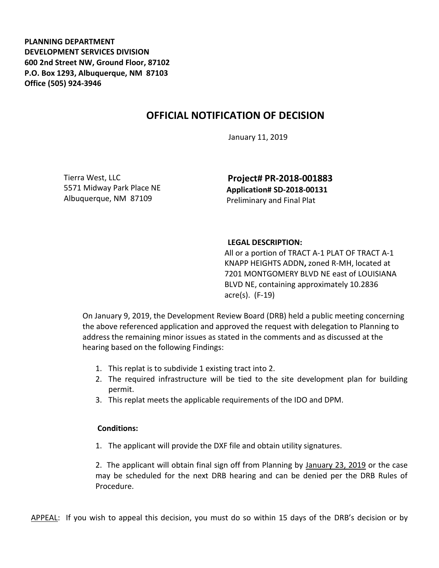**PLANNING DEPARTMENT DEVELOPMENT SERVICES DIVISION 600 2nd Street NW, Ground Floor, 87102 P.O. Box 1293, Albuquerque, NM 87103 Office (505) 924-3946** 

## **OFFICIAL NOTIFICATION OF DECISION**

January 11, 2019

Tierra West, LLC 5571 Midway Park Place NE Albuquerque, NM 87109

**Project# PR-2018-001883 Application# SD-2018-00131** Preliminary and Final Plat

## **LEGAL DESCRIPTION:**

All or a portion of TRACT A-1 PLAT OF TRACT A-1 KNAPP HEIGHTS ADDN**,** zoned R-MH, located at 7201 MONTGOMERY BLVD NE east of LOUISIANA BLVD NE, containing approximately 10.2836 acre(s). (F-19)

On January 9, 2019, the Development Review Board (DRB) held a public meeting concerning the above referenced application and approved the request with delegation to Planning to address the remaining minor issues as stated in the comments and as discussed at the hearing based on the following Findings:

- 1. This replat is to subdivide 1 existing tract into 2.
- 2. The required infrastructure will be tied to the site development plan for building permit.
- 3. This replat meets the applicable requirements of the IDO and DPM.

## **Conditions:**

1. The applicant will provide the DXF file and obtain utility signatures.

2. The applicant will obtain final sign off from Planning by January 23, 2019 or the case may be scheduled for the next DRB hearing and can be denied per the DRB Rules of Procedure.

APPEAL: If you wish to appeal this decision, you must do so within 15 days of the DRB's decision or by